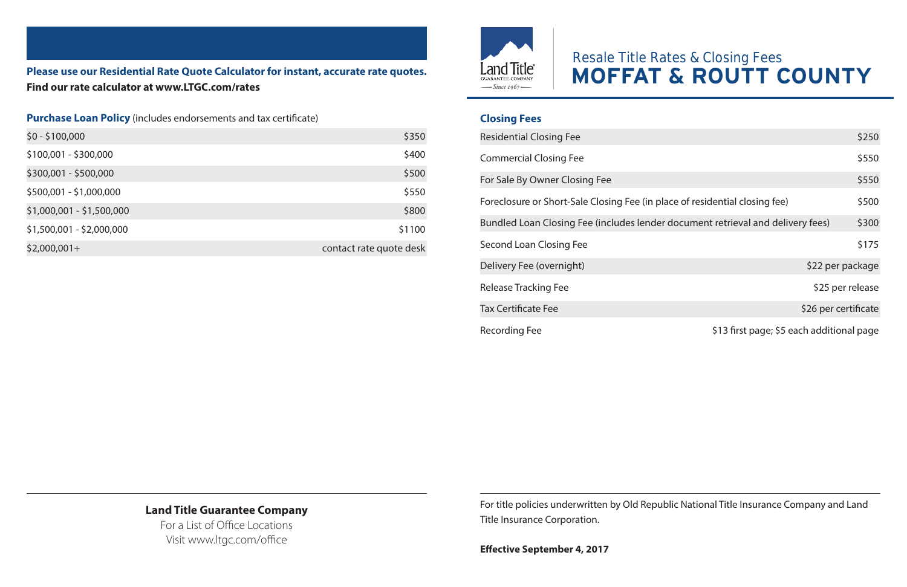**Please use our Residential Rate Quote Calculator for instant, accurate rate quotes. Find our rate calculator at www.LTGC.com/rates**

#### **Purchase Loan Policy** (includes endorsements and tax certificate)

| \$0 - \$100,000           | \$350                   |
|---------------------------|-------------------------|
| \$100,001 - \$300,000     | \$400                   |
| \$300,001 - \$500,000     | \$500                   |
| \$500,001 - \$1,000,000   | \$550                   |
| \$1,000,001 - \$1,500,000 | \$800                   |
| \$1,500,001 - \$2,000,000 | \$1100                  |
| $$2,000,001+$             | contact rate quote desk |
|                           |                         |



# Resale Title Rates & Closing Fees **MOFFAT & ROUTT COUNTY**

### **Closing Fees**

| <b>Residential Closing Fee</b>                                                  |                                           | \$250 |
|---------------------------------------------------------------------------------|-------------------------------------------|-------|
| <b>Commercial Closing Fee</b>                                                   |                                           | \$550 |
| For Sale By Owner Closing Fee                                                   |                                           | \$550 |
| Foreclosure or Short-Sale Closing Fee (in place of residential closing fee)     |                                           | \$500 |
| Bundled Loan Closing Fee (includes lender document retrieval and delivery fees) |                                           | \$300 |
| Second Loan Closing Fee                                                         |                                           | \$175 |
| Delivery Fee (overnight)                                                        | \$22 per package                          |       |
| Release Tracking Fee                                                            | \$25 per release                          |       |
| <b>Tax Certificate Fee</b>                                                      | \$26 per certificate                      |       |
| <b>Recording Fee</b>                                                            | \$13 first page; \$5 each additional page |       |

#### **Land Title Guarantee Company**

For a List of Office Locations Visit www.ltgc.com/office

For title policies underwritten by Old Republic National Title Insurance Company and Land Title Insurance Corporation.

**Effective September 4, 2017**